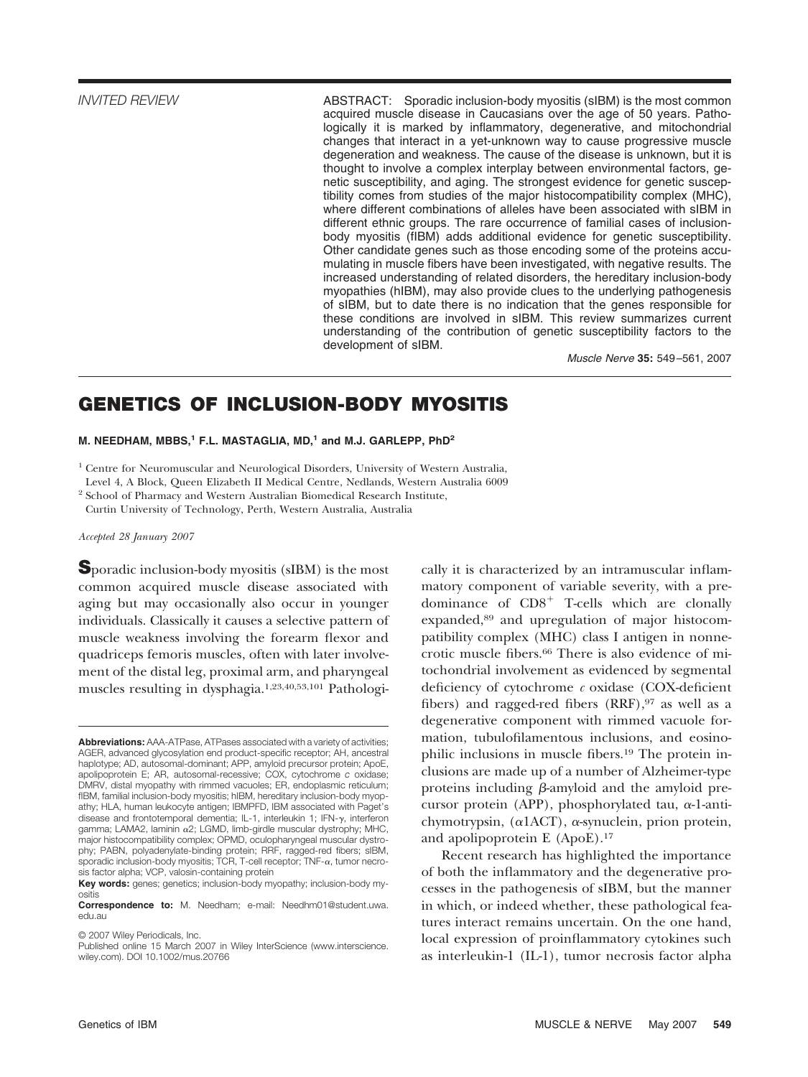*INVITED REVIEW* **ABSTRACT:** Sporadic inclusion-body myositis (sIBM) is the most common acquired muscle disease in Caucasians over the age of 50 years. Pathologically it is marked by inflammatory, degenerative, and mitochondrial changes that interact in a yet-unknown way to cause progressive muscle degeneration and weakness. The cause of the disease is unknown, but it is thought to involve a complex interplay between environmental factors, genetic susceptibility, and aging. The strongest evidence for genetic susceptibility comes from studies of the major histocompatibility complex (MHC), where different combinations of alleles have been associated with sIBM in different ethnic groups. The rare occurrence of familial cases of inclusionbody myositis (fIBM) adds additional evidence for genetic susceptibility. Other candidate genes such as those encoding some of the proteins accumulating in muscle fibers have been investigated, with negative results. The increased understanding of related disorders, the hereditary inclusion-body myopathies (hIBM), may also provide clues to the underlying pathogenesis of sIBM, but to date there is no indication that the genes responsible for these conditions are involved in sIBM. This review summarizes current understanding of the contribution of genetic susceptibility factors to the development of sIBM.

Muscle Nerve **35:** 549 –561, 2007

# **GENETICS OF INCLUSION-BODY MYOSITIS**

**M. NEEDHAM, MBBS,1 F.L. MASTAGLIA, MD,1 and M.J. GARLEPP, PhD2**

<sup>1</sup> Centre for Neuromuscular and Neurological Disorders, University of Western Australia,

Level 4, A Block, Queen Elizabeth II Medical Centre, Nedlands, Western Australia 6009

<sup>2</sup> School of Pharmacy and Western Australian Biomedical Research Institute, Curtin University of Technology, Perth, Western Australia, Australia

*Accepted 28 January 2007*

**S**poradic inclusion-body myositis (sIBM) is the most common acquired muscle disease associated with aging but may occasionally also occur in younger individuals. Classically it causes a selective pattern of muscle weakness involving the forearm flexor and quadriceps femoris muscles, often with later involvement of the distal leg, proximal arm, and pharyngeal muscles resulting in dysphagia.1,23,40,53,101 Pathologically it is characterized by an intramuscular inflammatory component of variable severity, with a predominance of  $CDS<sup>+</sup>$  T-cells which are clonally expanded,89 and upregulation of major histocompatibility complex (MHC) class I antigen in nonnecrotic muscle fibers.66 There is also evidence of mitochondrial involvement as evidenced by segmental deficiency of cytochrome *c* oxidase (COX-deficient fibers) and ragged-red fibers (RRF), 97 as well as a degenerative component with rimmed vacuole formation, tubulofilamentous inclusions, and eosinophilic inclusions in muscle fibers.19 The protein inclusions are made up of a number of Alzheimer-type proteins including  $\beta$ -amyloid and the amyloid precursor protein (APP), phosphorylated tau,  $\alpha$ -1-antichymotrypsin,  $(\alpha \text{IACT})$ ,  $\alpha$ -synuclein, prion protein, and apolipoprotein E  $(ApoE).<sup>17</sup>$ 

Recent research has highlighted the importance of both the inflammatory and the degenerative processes in the pathogenesis of sIBM, but the manner in which, or indeed whether, these pathological features interact remains uncertain. On the one hand, local expression of proinflammatory cytokines such as interleukin-1 (IL-1), tumor necrosis factor alpha

**Abbreviations:** AAA-ATPase, ATPases associated with a variety of activities; AGER, advanced glycosylation end product-specific receptor; AH, ancestral haplotype; AD, autosomal-dominant; APP, amyloid precursor protein; ApoE, apolipoprotein E; AR, autosomal-recessive; COX, cytochrome *c* oxidase; DMRV, distal myopathy with rimmed vacuoles; ER, endoplasmic reticulum; fIBM, familial inclusion-body myositis; hIBM, hereditary inclusion-body myopathy; HLA, human leukocyte antigen; IBMPFD, IBM associated with Paget's disease and frontotemporal dementia; IL-1, interleukin 1; IFN- $\gamma$ , interferon gamma; LAMA2, laminin  $\alpha$ 2; LGMD, limb-girdle muscular dystrophy; MHC, major histocompatibility complex; OPMD, oculopharyngeal muscular dystrophy; PABN, polyadenylate-binding protein; RRF, ragged-red fibers; sIBM, sporadic inclusion-body myositis; TCR, T-cell receptor;  $TNF-\alpha$ , tumor necrosis factor alpha; VCP, valosin-containing protein

**Key words:** genes; genetics; inclusion-body myopathy; inclusion-body myositis

**Correspondence to:** M. Needham; e-mail: Needhm01@student.uwa. edu.au

<sup>© 2007</sup> Wiley Periodicals, Inc.

Published online 15 March 2007 in Wiley InterScience (www.interscience. wiley.com). DOI 10.1002/mus.20766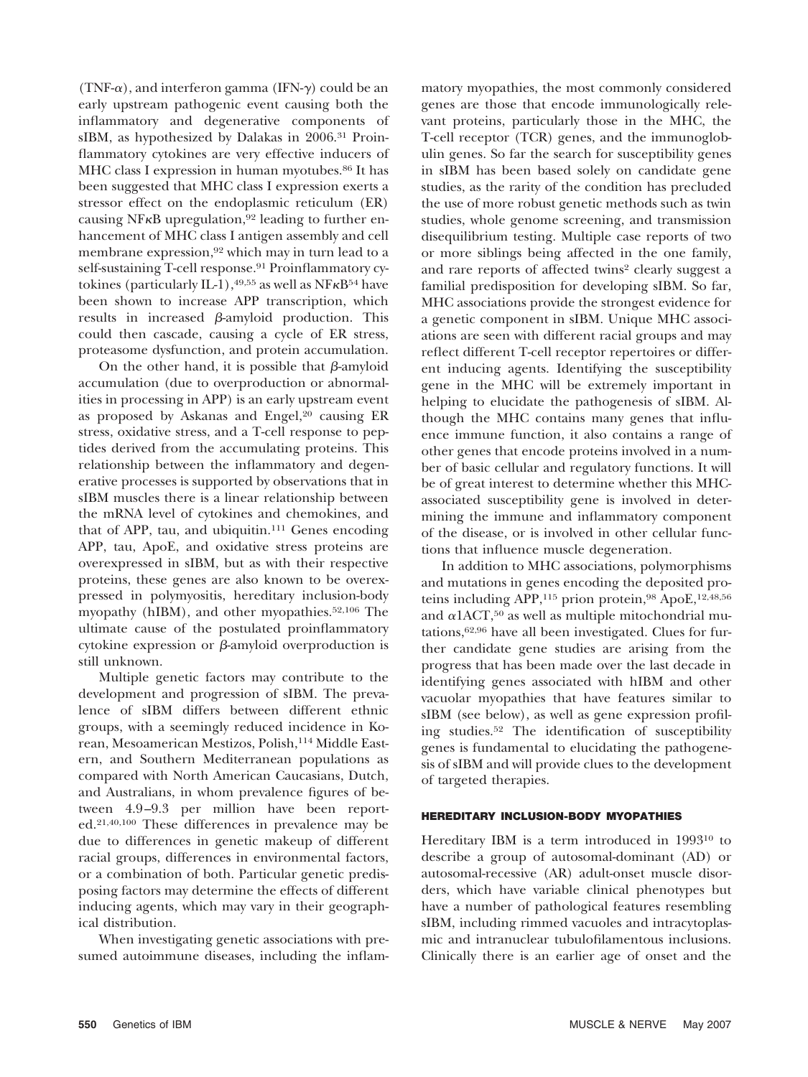(TNF- $\alpha$ ), and interferon gamma (IFN- $\gamma$ ) could be an early upstream pathogenic event causing both the inflammatory and degenerative components of sIBM, as hypothesized by Dalakas in 2006.31 Proinflammatory cytokines are very effective inducers of MHC class I expression in human myotubes.<sup>86</sup> It has been suggested that MHC class I expression exerts a stressor effect on the endoplasmic reticulum (ER) causing NF $\kappa$ B upregulation,<sup>92</sup> leading to further enhancement of MHC class I antigen assembly and cell membrane expression,<sup>92</sup> which may in turn lead to a self-sustaining T-cell response.<sup>91</sup> Proinflammatory cytokines (particularly IL-1),  $49,55$  as well as NF $\kappa$ B<sup>54</sup> have been shown to increase APP transcription, which results in increased  $\beta$ -amyloid production. This could then cascade, causing a cycle of ER stress, proteasome dysfunction, and protein accumulation.

On the other hand, it is possible that  $\beta$ -amyloid accumulation (due to overproduction or abnormalities in processing in APP) is an early upstream event as proposed by Askanas and Engel,<sup>20</sup> causing ER stress, oxidative stress, and a T-cell response to peptides derived from the accumulating proteins. This relationship between the inflammatory and degenerative processes is supported by observations that in sIBM muscles there is a linear relationship between the mRNA level of cytokines and chemokines, and that of APP, tau, and ubiquitin. $111$  Genes encoding APP, tau, ApoE, and oxidative stress proteins are overexpressed in sIBM, but as with their respective proteins, these genes are also known to be overexpressed in polymyositis, hereditary inclusion-body myopathy (hIBM), and other myopathies.52,106 The ultimate cause of the postulated proinflammatory cytokine expression or  $\beta$ -amyloid overproduction is still unknown.

Multiple genetic factors may contribute to the development and progression of sIBM. The prevalence of sIBM differs between different ethnic groups, with a seemingly reduced incidence in Korean, Mesoamerican Mestizos, Polish,114 Middle Eastern, and Southern Mediterranean populations as compared with North American Caucasians, Dutch, and Australians, in whom prevalence figures of between 4.9 –9.3 per million have been reported.21,40,100 These differences in prevalence may be due to differences in genetic makeup of different racial groups, differences in environmental factors, or a combination of both. Particular genetic predisposing factors may determine the effects of different inducing agents, which may vary in their geographical distribution.

When investigating genetic associations with presumed autoimmune diseases, including the inflammatory myopathies, the most commonly considered genes are those that encode immunologically relevant proteins, particularly those in the MHC, the T-cell receptor (TCR) genes, and the immunoglobulin genes. So far the search for susceptibility genes in sIBM has been based solely on candidate gene studies, as the rarity of the condition has precluded the use of more robust genetic methods such as twin studies, whole genome screening, and transmission disequilibrium testing. Multiple case reports of two or more siblings being affected in the one family, and rare reports of affected twins<sup>2</sup> clearly suggest a familial predisposition for developing sIBM. So far, MHC associations provide the strongest evidence for a genetic component in sIBM. Unique MHC associations are seen with different racial groups and may reflect different T-cell receptor repertoires or different inducing agents. Identifying the susceptibility gene in the MHC will be extremely important in helping to elucidate the pathogenesis of sIBM. Although the MHC contains many genes that influence immune function, it also contains a range of other genes that encode proteins involved in a number of basic cellular and regulatory functions. It will be of great interest to determine whether this MHCassociated susceptibility gene is involved in determining the immune and inflammatory component of the disease, or is involved in other cellular functions that influence muscle degeneration.

In addition to MHC associations, polymorphisms and mutations in genes encoding the deposited proteins including APP,<sup>115</sup> prion protein,<sup>98</sup> ApoE,<sup>12,48,56</sup> and  $\alpha$ 1ACT,<sup>50</sup> as well as multiple mitochondrial mutations,62,96 have all been investigated. Clues for further candidate gene studies are arising from the progress that has been made over the last decade in identifying genes associated with hIBM and other vacuolar myopathies that have features similar to sIBM (see below), as well as gene expression profiling studies.52 The identification of susceptibility genes is fundamental to elucidating the pathogenesis of sIBM and will provide clues to the development of targeted therapies.

# **HEREDITARY INCLUSION-BODY MYOPATHIES**

Hereditary IBM is a term introduced in 1993<sup>10</sup> to describe a group of autosomal-dominant (AD) or autosomal-recessive (AR) adult-onset muscle disorders, which have variable clinical phenotypes but have a number of pathological features resembling sIBM, including rimmed vacuoles and intracytoplasmic and intranuclear tubulofilamentous inclusions. Clinically there is an earlier age of onset and the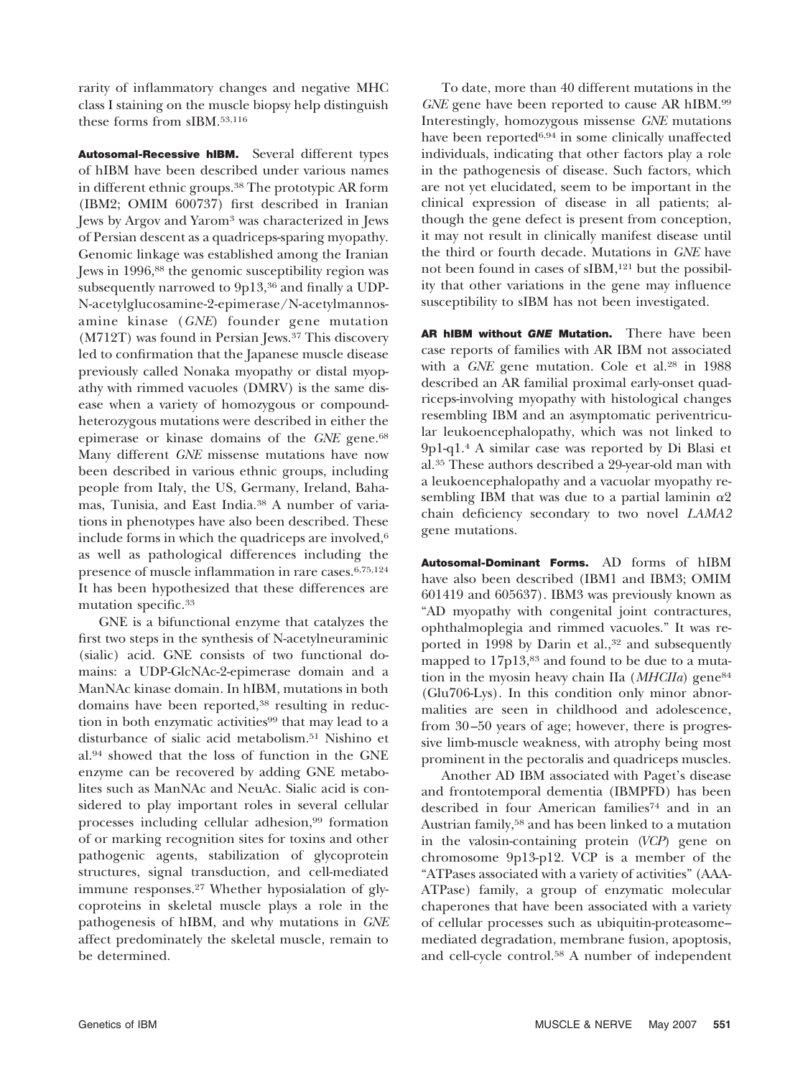rarity of inflammatory changes and negative MHC class I staining on the muscle biopsy help distinguish these forms from sIBM.53,116

**Autosomal-Recessive hIBM.** Several different types of hIBM have been described under various names in different ethnic groups.38 The prototypic AR form (IBM2; OMIM 600737) first described in Iranian Jews by Argov and Yarom3 was characterized in Jews of Persian descent as a quadriceps-sparing myopathy. Genomic linkage was established among the Iranian Jews in 1996,88 the genomic susceptibility region was subsequently narrowed to 9p13,<sup>36</sup> and finally a UDP-N-acetylglucosamine-2-epimerase/N-acetylmannosamine kinase (*GNE*) founder gene mutation (M712T) was found in Persian Jews.37 This discovery led to confirmation that the Japanese muscle disease previously called Nonaka myopathy or distal myopathy with rimmed vacuoles (DMRV) is the same disease when a variety of homozygous or compoundheterozygous mutations were described in either the epimerase or kinase domains of the *GNE* gene.68 Many different *GNE* missense mutations have now been described in various ethnic groups, including people from Italy, the US, Germany, Ireland, Bahamas, Tunisia, and East India.38 A number of variations in phenotypes have also been described. These include forms in which the quadriceps are involved,<sup>6</sup> as well as pathological differences including the presence of muscle inflammation in rare cases.6,75,124 It has been hypothesized that these differences are mutation specific.33

GNE is a bifunctional enzyme that catalyzes the first two steps in the synthesis of N-acetylneuraminic (sialic) acid. GNE consists of two functional domains: a UDP-GlcNAc-2-epimerase domain and a ManNAc kinase domain. In hIBM, mutations in both domains have been reported,<sup>38</sup> resulting in reduction in both enzymatic activities<sup>99</sup> that may lead to a disturbance of sialic acid metabolism.51 Nishino et al.94 showed that the loss of function in the GNE enzyme can be recovered by adding GNE metabolites such as ManNAc and NeuAc. Sialic acid is considered to play important roles in several cellular processes including cellular adhesion,99 formation of or marking recognition sites for toxins and other pathogenic agents, stabilization of glycoprotein structures, signal transduction, and cell-mediated immune responses.27 Whether hyposialation of glycoproteins in skeletal muscle plays a role in the pathogenesis of hIBM, and why mutations in *GNE* affect predominately the skeletal muscle, remain to be determined.

To date, more than 40 different mutations in the *GNE* gene have been reported to cause AR hIBM.99 Interestingly, homozygous missense *GNE* mutations have been reported<sup>6,94</sup> in some clinically unaffected individuals, indicating that other factors play a role in the pathogenesis of disease. Such factors, which are not yet elucidated, seem to be important in the clinical expression of disease in all patients; although the gene defect is present from conception, it may not result in clinically manifest disease until the third or fourth decade. Mutations in *GNE* have not been found in cases of  $sIBM$ ,<sup>121</sup> but the possibility that other variations in the gene may influence susceptibility to sIBM has not been investigated.

**AR hIBM without** *GNE* **Mutation.** There have been case reports of families with AR IBM not associated with a *GNE* gene mutation. Cole et al.<sup>28</sup> in 1988 described an AR familial proximal early-onset quadriceps-involving myopathy with histological changes resembling IBM and an asymptomatic periventricular leukoencephalopathy, which was not linked to 9p1-q1.4 A similar case was reported by Di Blasi et al.35 These authors described a 29-year-old man with a leukoencephalopathy and a vacuolar myopathy resembling IBM that was due to a partial laminin  $\alpha 2$ chain deficiency secondary to two novel *LAMA2* gene mutations.

**Autosomal-Dominant Forms.** AD forms of hIBM have also been described (IBM1 and IBM3; OMIM 601419 and 605637). IBM3 was previously known as "AD myopathy with congenital joint contractures, ophthalmoplegia and rimmed vacuoles." It was reported in 1998 by Darin et al.,<sup>32</sup> and subsequently mapped to  $17p13$ ,  $83$  and found to be due to a mutation in the myosin heavy chain IIa (*MHCIIa*) gene84 (Glu706-Lys). In this condition only minor abnormalities are seen in childhood and adolescence, from 30 –50 years of age; however, there is progressive limb-muscle weakness, with atrophy being most prominent in the pectoralis and quadriceps muscles.

Another AD IBM associated with Paget's disease and frontotemporal dementia (IBMPFD) has been described in four American families<sup>74</sup> and in an Austrian family,58 and has been linked to a mutation in the valosin-containing protein (*VCP*) gene on chromosome 9p13-p12. VCP is a member of the "ATPases associated with a variety of activities" (AAA-ATPase) family, a group of enzymatic molecular chaperones that have been associated with a variety of cellular processes such as ubiquitin-proteasome– mediated degradation, membrane fusion, apoptosis, and cell-cycle control.58 A number of independent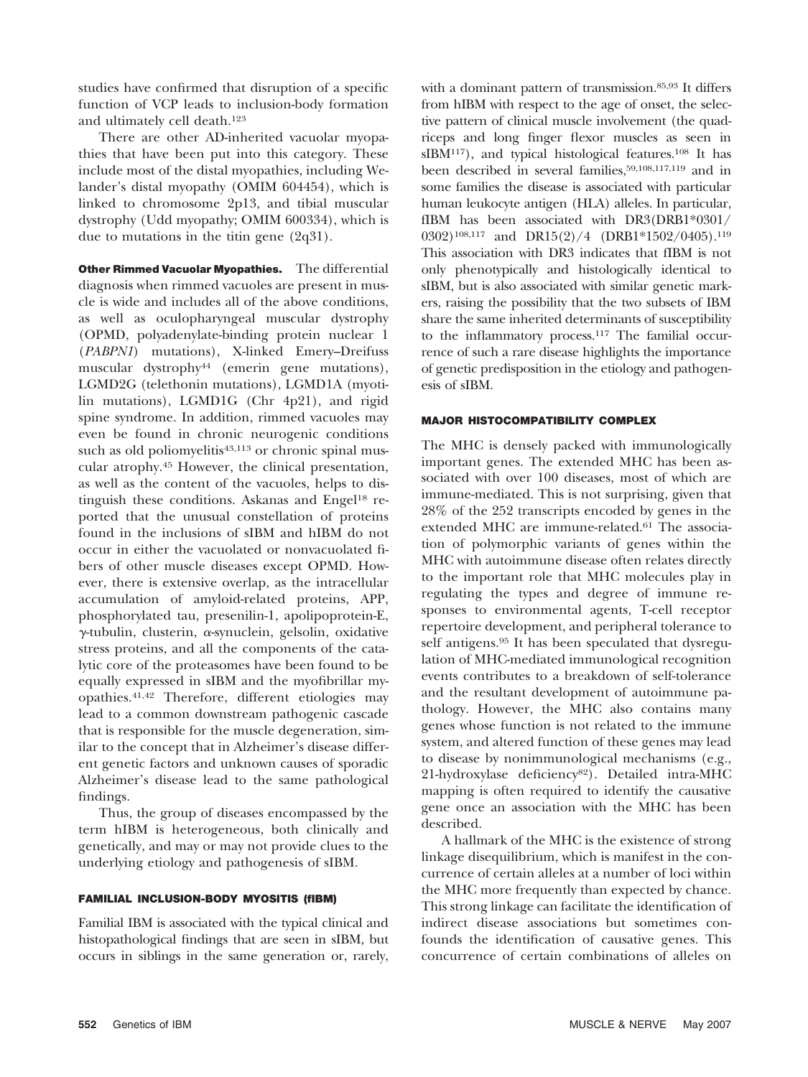studies have confirmed that disruption of a specific function of VCP leads to inclusion-body formation and ultimately cell death.123

There are other AD-inherited vacuolar myopathies that have been put into this category. These include most of the distal myopathies, including Welander's distal myopathy (OMIM 604454), which is linked to chromosome 2p13, and tibial muscular dystrophy (Udd myopathy; OMIM 600334), which is due to mutations in the titin gene (2q31).

**Other Rimmed Vacuolar Myopathies.** The differential diagnosis when rimmed vacuoles are present in muscle is wide and includes all of the above conditions, as well as oculopharyngeal muscular dystrophy (OPMD, polyadenylate-binding protein nuclear 1 (*PABPN1*) mutations), X-linked Emery–Dreifuss muscular dystrophy44 (emerin gene mutations), LGMD2G (telethonin mutations), LGMD1A (myotilin mutations), LGMD1G (Chr 4p21), and rigid spine syndrome. In addition, rimmed vacuoles may even be found in chronic neurogenic conditions such as old poliomyelitis<sup>43,113</sup> or chronic spinal muscular atrophy.45 However, the clinical presentation, as well as the content of the vacuoles, helps to distinguish these conditions. Askanas and Engel<sup>18</sup> reported that the unusual constellation of proteins found in the inclusions of sIBM and hIBM do not occur in either the vacuolated or nonvacuolated fibers of other muscle diseases except OPMD. However, there is extensive overlap, as the intracellular accumulation of amyloid-related proteins, APP, phosphorylated tau, presenilin-1, apolipoprotein-E,  $\gamma$ -tubulin, clusterin,  $\alpha$ -synuclein, gelsolin, oxidative stress proteins, and all the components of the catalytic core of the proteasomes have been found to be equally expressed in sIBM and the myofibrillar myopathies.41,42 Therefore, different etiologies may lead to a common downstream pathogenic cascade that is responsible for the muscle degeneration, similar to the concept that in Alzheimer's disease different genetic factors and unknown causes of sporadic Alzheimer's disease lead to the same pathological findings.

Thus, the group of diseases encompassed by the term hIBM is heterogeneous, both clinically and genetically, and may or may not provide clues to the underlying etiology and pathogenesis of sIBM.

### **FAMILIAL INCLUSION-BODY MYOSITIS (fIBM)**

Familial IBM is associated with the typical clinical and histopathological findings that are seen in sIBM, but occurs in siblings in the same generation or, rarely,

with a dominant pattern of transmission.85,93 It differs from hIBM with respect to the age of onset, the selective pattern of clinical muscle involvement (the quadriceps and long finger flexor muscles as seen in  $sIBM<sup>117</sup>$ , and typical histological features.<sup>108</sup> It has been described in several families,<sup>59,108,117,119</sup> and in some families the disease is associated with particular human leukocyte antigen (HLA) alleles. In particular, fIBM has been associated with DR3(DRB1\*0301/ 0302)<sup>108,117</sup> and DR15(2)/4 (DRB1\*1502/0405).<sup>119</sup> This association with DR3 indicates that fIBM is not only phenotypically and histologically identical to sIBM, but is also associated with similar genetic markers, raising the possibility that the two subsets of IBM share the same inherited determinants of susceptibility to the inflammatory process.117 The familial occurrence of such a rare disease highlights the importance of genetic predisposition in the etiology and pathogenesis of sIBM.

#### **MAJOR HISTOCOMPATIBILITY COMPLEX**

The MHC is densely packed with immunologically important genes. The extended MHC has been associated with over 100 diseases, most of which are immune-mediated. This is not surprising, given that 28% of the 252 transcripts encoded by genes in the extended MHC are immune-related.<sup>61</sup> The association of polymorphic variants of genes within the MHC with autoimmune disease often relates directly to the important role that MHC molecules play in regulating the types and degree of immune responses to environmental agents, T-cell receptor repertoire development, and peripheral tolerance to self antigens.95 It has been speculated that dysregulation of MHC-mediated immunological recognition events contributes to a breakdown of self-tolerance and the resultant development of autoimmune pathology. However, the MHC also contains many genes whose function is not related to the immune system, and altered function of these genes may lead to disease by nonimmunological mechanisms (e.g., 21-hydroxylase deficiency82). Detailed intra-MHC mapping is often required to identify the causative gene once an association with the MHC has been described.

A hallmark of the MHC is the existence of strong linkage disequilibrium, which is manifest in the concurrence of certain alleles at a number of loci within the MHC more frequently than expected by chance. This strong linkage can facilitate the identification of indirect disease associations but sometimes confounds the identification of causative genes. This concurrence of certain combinations of alleles on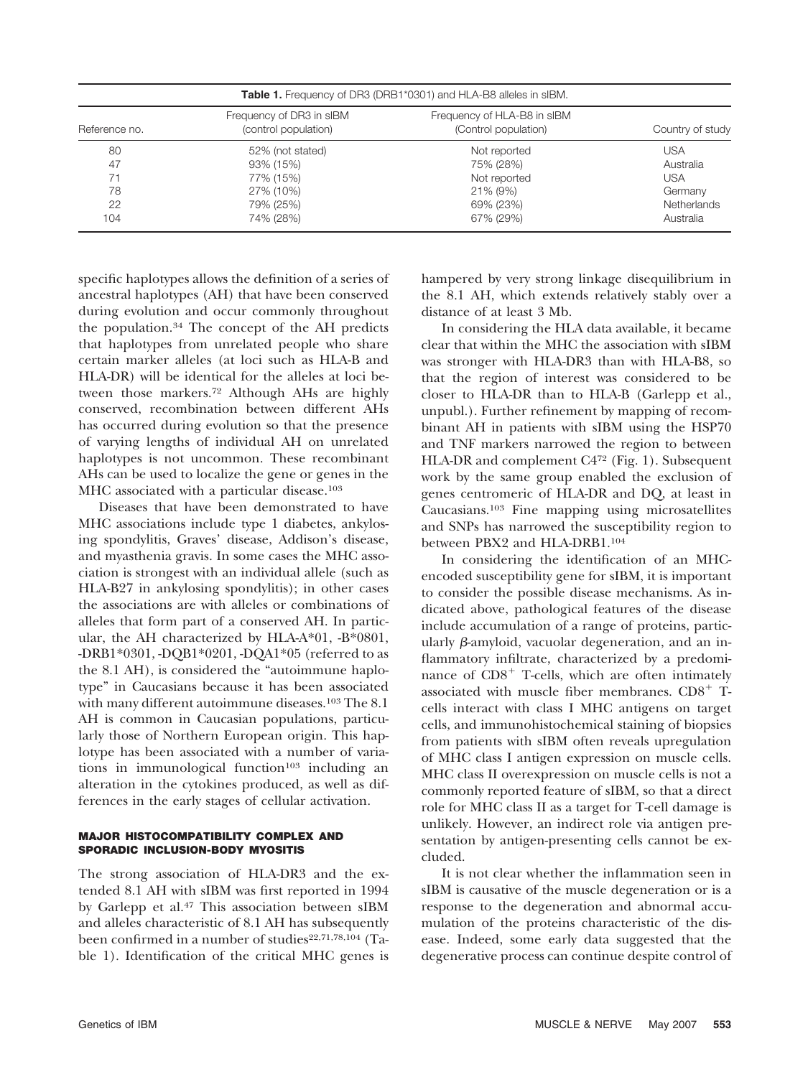| <b>Table 1.</b> Frequency of DR3 (DRB1*0301) and HLA-B8 alleles in sIBM. |                                                  |                                                     |                  |
|--------------------------------------------------------------------------|--------------------------------------------------|-----------------------------------------------------|------------------|
| Reference no.                                                            | Frequency of DR3 in sIBM<br>(control population) | Frequency of HLA-B8 in sIBM<br>(Control population) | Country of study |
| 80                                                                       | 52% (not stated)                                 | Not reported                                        | <b>USA</b>       |
| 47                                                                       | 93% (15%)                                        | 75% (28%)                                           | Australia        |
| 71                                                                       | 77% (15%)                                        | Not reported                                        | <b>USA</b>       |
| 78                                                                       | 27% (10%)                                        | 21% (9%)                                            | Germany          |
| 22                                                                       | 79% (25%)                                        | 69% (23%)                                           | Netherlands      |
| 104                                                                      | 74% (28%)                                        | 67% (29%)                                           | Australia        |

specific haplotypes allows the definition of a series of ancestral haplotypes (AH) that have been conserved during evolution and occur commonly throughout the population.34 The concept of the AH predicts that haplotypes from unrelated people who share certain marker alleles (at loci such as HLA-B and HLA-DR) will be identical for the alleles at loci between those markers.72 Although AHs are highly conserved, recombination between different AHs has occurred during evolution so that the presence of varying lengths of individual AH on unrelated haplotypes is not uncommon. These recombinant AHs can be used to localize the gene or genes in the MHC associated with a particular disease.103

Diseases that have been demonstrated to have MHC associations include type 1 diabetes, ankylosing spondylitis, Graves' disease, Addison's disease, and myasthenia gravis. In some cases the MHC association is strongest with an individual allele (such as HLA-B27 in ankylosing spondylitis); in other cases the associations are with alleles or combinations of alleles that form part of a conserved AH. In particular, the AH characterized by HLA-A\*01, -B\*0801, -DRB1\*0301, -DQB1\*0201, -DQA1\*05 (referred to as the 8.1 AH), is considered the "autoimmune haplotype" in Caucasians because it has been associated with many different autoimmune diseases.103 The 8.1 AH is common in Caucasian populations, particularly those of Northern European origin. This haplotype has been associated with a number of variations in immunological function<sup>103</sup> including an alteration in the cytokines produced, as well as differences in the early stages of cellular activation.

### **MAJOR HISTOCOMPATIBILITY COMPLEX AND SPORADIC INCLUSION-BODY MYOSITIS**

The strong association of HLA-DR3 and the extended 8.1 AH with sIBM was first reported in 1994 by Garlepp et al.47 This association between sIBM and alleles characteristic of 8.1 AH has subsequently been confirmed in a number of studies<sup>22,71,78,104</sup> (Table 1). Identification of the critical MHC genes is

hampered by very strong linkage disequilibrium in the 8.1 AH, which extends relatively stably over a distance of at least 3 Mb.

In considering the HLA data available, it became clear that within the MHC the association with sIBM was stronger with HLA-DR3 than with HLA-B8, so that the region of interest was considered to be closer to HLA-DR than to HLA-B (Garlepp et al., unpubl.). Further refinement by mapping of recombinant AH in patients with sIBM using the HSP70 and TNF markers narrowed the region to between HLA-DR and complement C472 (Fig. 1). Subsequent work by the same group enabled the exclusion of genes centromeric of HLA-DR and DQ, at least in Caucasians.103 Fine mapping using microsatellites and SNPs has narrowed the susceptibility region to between PBX2 and HLA-DRB1.104

In considering the identification of an MHCencoded susceptibility gene for sIBM, it is important to consider the possible disease mechanisms. As indicated above, pathological features of the disease include accumulation of a range of proteins, particularly  $\beta$ -amyloid, vacuolar degeneration, and an inflammatory infiltrate, characterized by a predominance of  $CD8<sup>+</sup>$  T-cells, which are often intimately associated with muscle fiber membranes.  $CD8<sup>+</sup>$  Tcells interact with class I MHC antigens on target cells, and immunohistochemical staining of biopsies from patients with sIBM often reveals upregulation of MHC class I antigen expression on muscle cells. MHC class II overexpression on muscle cells is not a commonly reported feature of sIBM, so that a direct role for MHC class II as a target for T-cell damage is unlikely. However, an indirect role via antigen presentation by antigen-presenting cells cannot be excluded.

It is not clear whether the inflammation seen in sIBM is causative of the muscle degeneration or is a response to the degeneration and abnormal accumulation of the proteins characteristic of the disease. Indeed, some early data suggested that the degenerative process can continue despite control of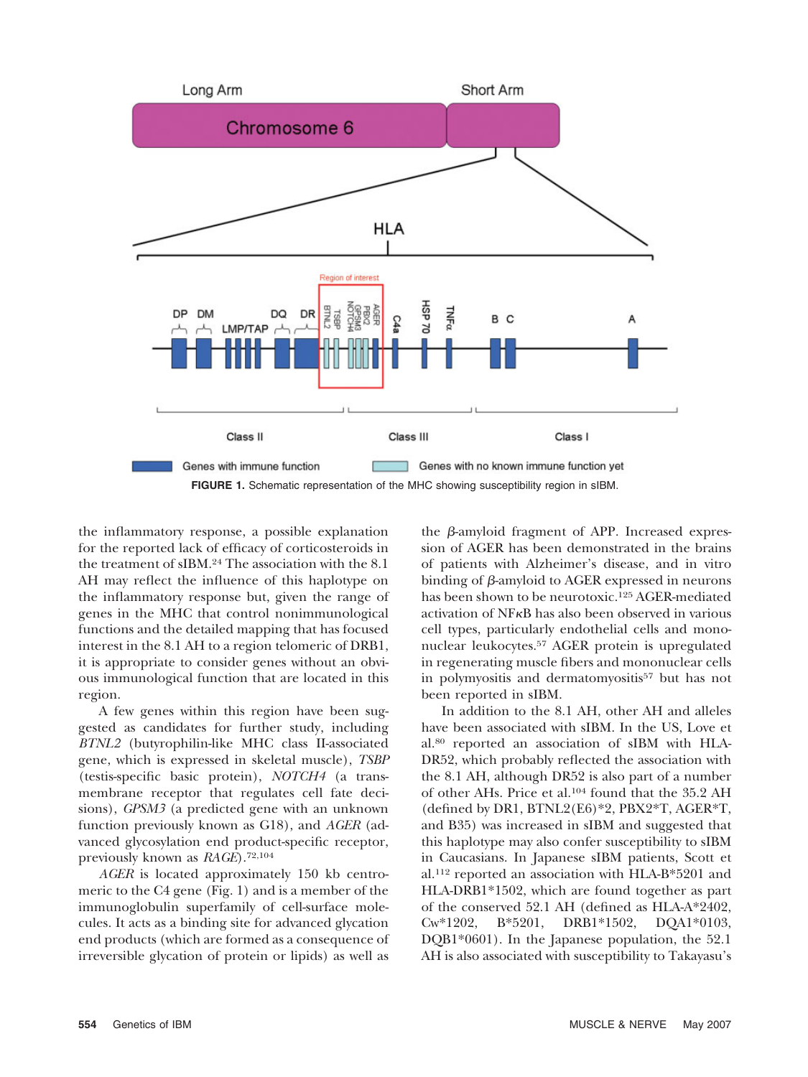

the inflammatory response, a possible explanation for the reported lack of efficacy of corticosteroids in the treatment of sIBM.24 The association with the 8.1 AH may reflect the influence of this haplotype on the inflammatory response but, given the range of genes in the MHC that control nonimmunological functions and the detailed mapping that has focused interest in the 8.1 AH to a region telomeric of DRB1, it is appropriate to consider genes without an obvious immunological function that are located in this region.

A few genes within this region have been suggested as candidates for further study, including *BTNL2* (butyrophilin-like MHC class II-associated gene, which is expressed in skeletal muscle), *TSBP* (testis-specific basic protein), *NOTCH4* (a transmembrane receptor that regulates cell fate decisions), *GPSM3* (a predicted gene with an unknown function previously known as G18), and *AGER* (advanced glycosylation end product-specific receptor, previously known as *RAGE*).72,104

*AGER* is located approximately 150 kb centromeric to the C4 gene (Fig. 1) and is a member of the immunoglobulin superfamily of cell-surface molecules. It acts as a binding site for advanced glycation end products (which are formed as a consequence of irreversible glycation of protein or lipids) as well as

the  $\beta$ -amyloid fragment of APP. Increased expression of AGER has been demonstrated in the brains of patients with Alzheimer's disease, and in vitro binding of  $\beta$ -amyloid to AGER expressed in neurons has been shown to be neurotoxic.125 AGER-mediated activation of  $N$ F $\kappa$ B has also been observed in various cell types, particularly endothelial cells and mononuclear leukocytes.57 AGER protein is upregulated in regenerating muscle fibers and mononuclear cells in polymyositis and dermatomyositis<sup>57</sup> but has not been reported in sIBM.

In addition to the 8.1 AH, other AH and alleles have been associated with sIBM. In the US, Love et al.80 reported an association of sIBM with HLA-DR52, which probably reflected the association with the 8.1 AH, although DR52 is also part of a number of other AHs. Price et al.104 found that the 35.2 AH (defined by DR1, BTNL2(E6)\*2, PBX2\*T, AGER\*T, and B35) was increased in sIBM and suggested that this haplotype may also confer susceptibility to sIBM in Caucasians. In Japanese sIBM patients, Scott et al.112 reported an association with HLA-B\*5201 and HLA-DRB1\*1502, which are found together as part of the conserved 52.1 AH (defined as HLA-A\*2402, Cw\*1202, B\*5201, DRB1\*1502, DQA1\*0103, DQB1\*0601). In the Japanese population, the 52.1 AH is also associated with susceptibility to Takayasu's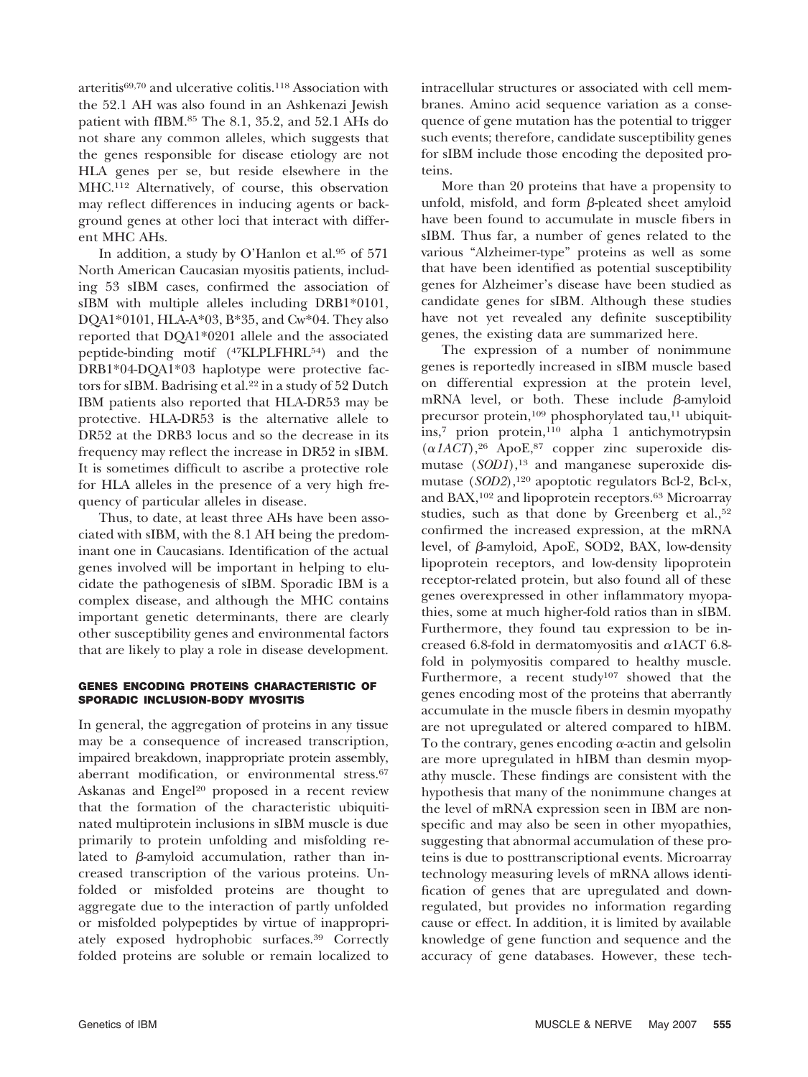arteritis69,70 and ulcerative colitis.118 Association with the 52.1 AH was also found in an Ashkenazi Jewish patient with fIBM.85 The 8.1, 35.2, and 52.1 AHs do not share any common alleles, which suggests that the genes responsible for disease etiology are not HLA genes per se, but reside elsewhere in the MHC.112 Alternatively, of course, this observation may reflect differences in inducing agents or background genes at other loci that interact with different MHC AHs.

In addition, a study by O'Hanlon et al. $95$  of  $571$ North American Caucasian myositis patients, including 53 sIBM cases, confirmed the association of sIBM with multiple alleles including DRB1\*0101, DQA1\*0101, HLA-A\*03, B\*35, and Cw\*04. They also reported that DQA1\*0201 allele and the associated peptide-binding motif (47KLPLFHRL54) and the DRB1\*04-DQA1\*03 haplotype were protective factors for sIBM. Badrising et al.<sup>22</sup> in a study of 52 Dutch IBM patients also reported that HLA-DR53 may be protective. HLA-DR53 is the alternative allele to DR52 at the DRB3 locus and so the decrease in its frequency may reflect the increase in DR52 in sIBM. It is sometimes difficult to ascribe a protective role for HLA alleles in the presence of a very high frequency of particular alleles in disease.

Thus, to date, at least three AHs have been associated with sIBM, with the 8.1 AH being the predominant one in Caucasians. Identification of the actual genes involved will be important in helping to elucidate the pathogenesis of sIBM. Sporadic IBM is a complex disease, and although the MHC contains important genetic determinants, there are clearly other susceptibility genes and environmental factors that are likely to play a role in disease development.

# **GENES ENCODING PROTEINS CHARACTERISTIC OF SPORADIC INCLUSION-BODY MYOSITIS**

In general, the aggregation of proteins in any tissue may be a consequence of increased transcription, impaired breakdown, inappropriate protein assembly, aberrant modification, or environmental stress.67 Askanas and Engel<sup>20</sup> proposed in a recent review that the formation of the characteristic ubiquitinated multiprotein inclusions in sIBM muscle is due primarily to protein unfolding and misfolding related to  $\beta$ -amyloid accumulation, rather than increased transcription of the various proteins. Unfolded or misfolded proteins are thought to aggregate due to the interaction of partly unfolded or misfolded polypeptides by virtue of inappropriately exposed hydrophobic surfaces.39 Correctly folded proteins are soluble or remain localized to

intracellular structures or associated with cell membranes. Amino acid sequence variation as a consequence of gene mutation has the potential to trigger such events; therefore, candidate susceptibility genes for sIBM include those encoding the deposited proteins.

More than 20 proteins that have a propensity to unfold, misfold, and form  $\beta$ -pleated sheet amyloid have been found to accumulate in muscle fibers in sIBM. Thus far, a number of genes related to the various "Alzheimer-type" proteins as well as some that have been identified as potential susceptibility genes for Alzheimer's disease have been studied as candidate genes for sIBM. Although these studies have not yet revealed any definite susceptibility genes, the existing data are summarized here.

The expression of a number of nonimmune genes is reportedly increased in sIBM muscle based on differential expression at the protein level, mRNA level, or both. These include  $\beta$ -amyloid precursor protein,<sup>109</sup> phosphorylated tau,<sup>11</sup> ubiquitins,7 prion protein,110 alpha 1 antichymotrypsin ( $\alpha$  *1ACT*),<sup>26</sup> ApoE,<sup>87</sup> copper zinc superoxide dismutase (*SOD1*),<sup>13</sup> and manganese superoxide dismutase (*SOD2*),<sup>120</sup> apoptotic regulators Bcl-2, Bcl-x, and BAX,102 and lipoprotein receptors.63 Microarray studies, such as that done by Greenberg et al.,<sup>52</sup> confirmed the increased expression, at the mRNA level, of  $\beta$ -amyloid, ApoE, SOD2, BAX, low-density lipoprotein receptors, and low-density lipoprotein receptor-related protein, but also found all of these genes overexpressed in other inflammatory myopathies, some at much higher-fold ratios than in sIBM. Furthermore, they found tau expression to be increased 6.8-fold in dermatomyositis and  $\alpha$ 1ACT 6.8fold in polymyositis compared to healthy muscle. Furthermore, a recent study107 showed that the genes encoding most of the proteins that aberrantly accumulate in the muscle fibers in desmin myopathy are not upregulated or altered compared to hIBM. To the contrary, genes encoding  $\alpha$ -actin and gelsolin are more upregulated in hIBM than desmin myopathy muscle. These findings are consistent with the hypothesis that many of the nonimmune changes at the level of mRNA expression seen in IBM are nonspecific and may also be seen in other myopathies, suggesting that abnormal accumulation of these proteins is due to posttranscriptional events. Microarray technology measuring levels of mRNA allows identification of genes that are upregulated and downregulated, but provides no information regarding cause or effect. In addition, it is limited by available knowledge of gene function and sequence and the accuracy of gene databases. However, these tech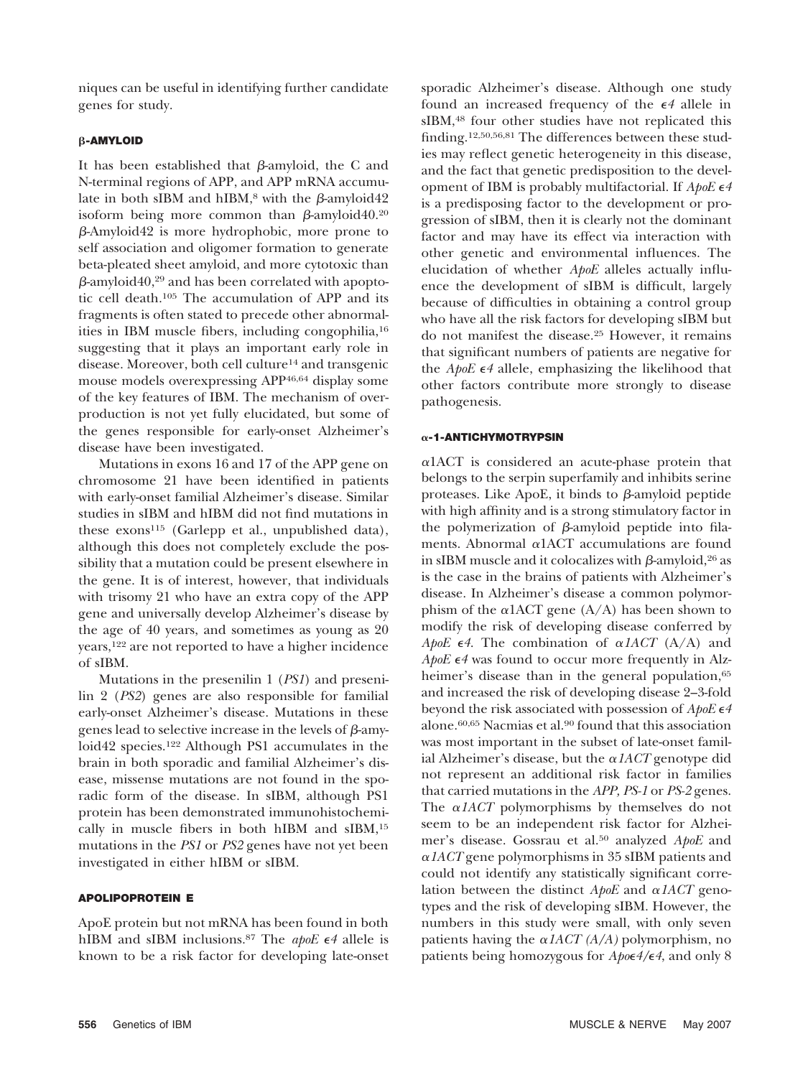niques can be useful in identifying further candidate genes for study.

# **-AMYLOID**

It has been established that  $\beta$ -amyloid, the C and N-terminal regions of APP, and APP mRNA accumulate in both sIBM and hIBM,<sup>8</sup> with the  $\beta$ -amyloid42 isoform being more common than  $\beta$ -amyloid40.<sup>20</sup> -Amyloid42 is more hydrophobic, more prone to self association and oligomer formation to generate beta-pleated sheet amyloid, and more cytotoxic than  $\beta$ -amyloid40,<sup>29</sup> and has been correlated with apoptotic cell death.105 The accumulation of APP and its fragments is often stated to precede other abnormalities in IBM muscle fibers, including congophilia,16 suggesting that it plays an important early role in disease. Moreover, both cell culture<sup>14</sup> and transgenic mouse models overexpressing APP46,64 display some of the key features of IBM. The mechanism of overproduction is not yet fully elucidated, but some of the genes responsible for early-onset Alzheimer's disease have been investigated.

Mutations in exons 16 and 17 of the APP gene on chromosome 21 have been identified in patients with early-onset familial Alzheimer's disease. Similar studies in sIBM and hIBM did not find mutations in these  $exons<sup>115</sup>$  (Garlepp et al., unpublished data), although this does not completely exclude the possibility that a mutation could be present elsewhere in the gene. It is of interest, however, that individuals with trisomy 21 who have an extra copy of the APP gene and universally develop Alzheimer's disease by the age of 40 years, and sometimes as young as 20 years,122 are not reported to have a higher incidence of sIBM.

Mutations in the presenilin 1 (*PS1*) and presenilin 2 (*PS2*) genes are also responsible for familial early-onset Alzheimer's disease. Mutations in these genes lead to selective increase in the levels of  $\beta$ -amyloid42 species.122 Although PS1 accumulates in the brain in both sporadic and familial Alzheimer's disease, missense mutations are not found in the sporadic form of the disease. In sIBM, although PS1 protein has been demonstrated immunohistochemically in muscle fibers in both hIBM and sIBM,15 mutations in the *PS1* or *PS2* genes have not yet been investigated in either hIBM or sIBM.

# **APOLIPOPROTEIN E**

ApoE protein but not mRNA has been found in both hIBM and sIBM inclusions.<sup>87</sup> The *apoE*  $\epsilon$ 4 allele is known to be a risk factor for developing late-onset sporadic Alzheimer's disease. Although one study found an increased frequency of the  $\epsilon$ 4 allele in sIBM,<sup>48</sup> four other studies have not replicated this finding.12,50,56,81 The differences between these studies may reflect genetic heterogeneity in this disease, and the fact that genetic predisposition to the development of IBM is probably multifactorial. If *ApoE 4* is a predisposing factor to the development or progression of sIBM, then it is clearly not the dominant factor and may have its effect via interaction with other genetic and environmental influences. The elucidation of whether *ApoE* alleles actually influence the development of sIBM is difficult, largely because of difficulties in obtaining a control group who have all the risk factors for developing sIBM but do not manifest the disease.25 However, it remains that significant numbers of patients are negative for the  $ApoE \in \mathcal{A}$  allele, emphasizing the likelihood that other factors contribute more strongly to disease pathogenesis.

# -**-1-ANTICHYMOTRYPSIN**

 $\alpha$ 1ACT is considered an acute-phase protein that belongs to the serpin superfamily and inhibits serine proteases. Like ApoE, it binds to  $\beta$ -amyloid peptide with high affinity and is a strong stimulatory factor in the polymerization of  $\beta$ -amyloid peptide into filaments. Abnormal  $\alpha$ 1ACT accumulations are found in sIBM muscle and it colocalizes with  $\beta$ -amyloid,<sup>26</sup> as is the case in the brains of patients with Alzheimer's disease. In Alzheimer's disease a common polymorphism of the  $\alpha$ 1ACT gene (A/A) has been shown to modify the risk of developing disease conferred by *ApoE*  $\epsilon$ 4. The combination of  $\alpha$ *IACT* (A/A) and *ApoE*  $\epsilon$ 4 was found to occur more frequently in Alzheimer's disease than in the general population, 65 and increased the risk of developing disease 2–3-fold beyond the risk associated with possession of *ApoE 4* alone.60,65 Nacmias et al.90 found that this association was most important in the subset of late-onset familial Alzheimer's disease, but the  $\alpha$ *1ACT* genotype did not represent an additional risk factor in families that carried mutations in the *APP, PS-1* or *PS-2* genes. The  $\alpha$ *IACT* polymorphisms by themselves do not seem to be an independent risk factor for Alzheimer's disease. Gossrau et al.50 analyzed *ApoE* and  $\alpha$ *1ACT* gene polymorphisms in 35 sIBM patients and could not identify any statistically significant correlation between the distinct *ApoE* and  $\alpha$ *IACT* genotypes and the risk of developing sIBM. However, the numbers in this study were small, with only seven patients having the  $\alpha$ *IACT* ( $A/A$ ) polymorphism, no patients being homozygous for *Apo4/4*, and only 8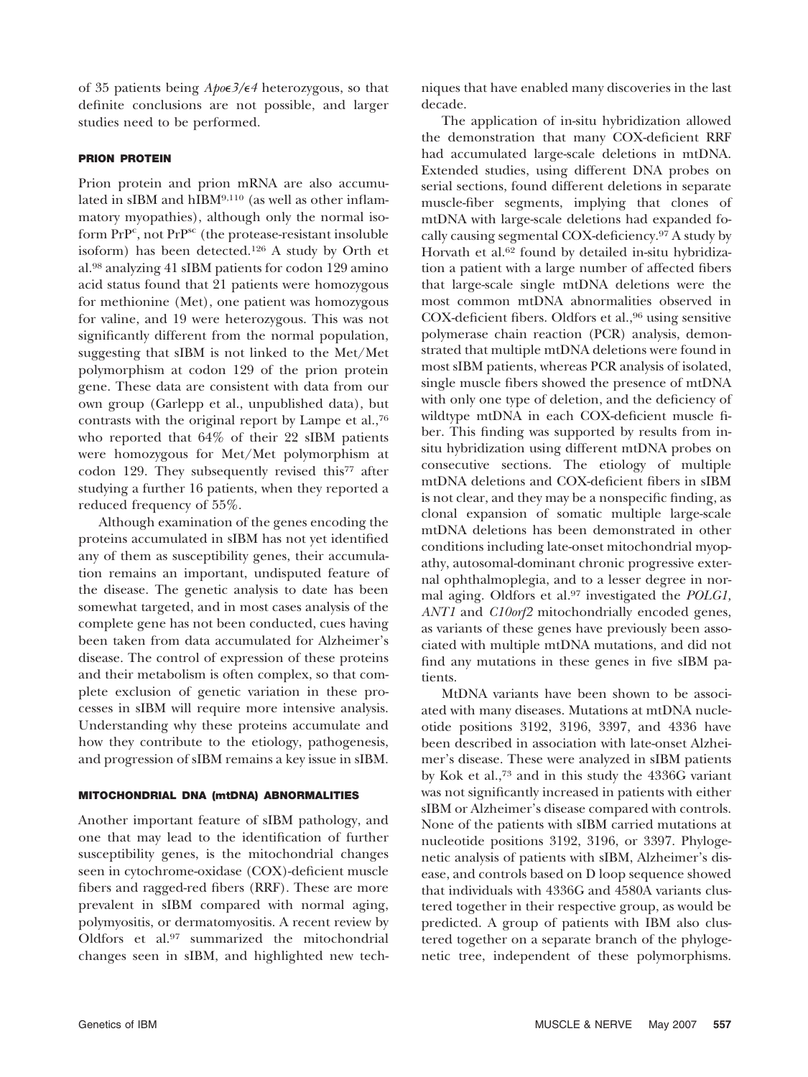of 35 patients being *Apo3/4* heterozygous, so that definite conclusions are not possible, and larger studies need to be performed.

# **PRION PROTEIN**

Prion protein and prion mRNA are also accumulated in sIBM and hIBM9,110 (as well as other inflammatory myopathies), although only the normal isoform PrP<sup>c</sup>, not PrP<sup>sc</sup> (the protease-resistant insoluble isoform) has been detected.<sup>126</sup> A study by Orth et al.98 analyzing 41 sIBM patients for codon 129 amino acid status found that 21 patients were homozygous for methionine (Met), one patient was homozygous for valine, and 19 were heterozygous. This was not significantly different from the normal population, suggesting that sIBM is not linked to the Met/Met polymorphism at codon 129 of the prion protein gene. These data are consistent with data from our own group (Garlepp et al., unpublished data), but contrasts with the original report by Lampe et al.,76 who reported that 64% of their 22 sIBM patients were homozygous for Met/Met polymorphism at codon 129. They subsequently revised this<sup>77</sup> after studying a further 16 patients, when they reported a reduced frequency of 55%.

Although examination of the genes encoding the proteins accumulated in sIBM has not yet identified any of them as susceptibility genes, their accumulation remains an important, undisputed feature of the disease. The genetic analysis to date has been somewhat targeted, and in most cases analysis of the complete gene has not been conducted, cues having been taken from data accumulated for Alzheimer's disease. The control of expression of these proteins and their metabolism is often complex, so that complete exclusion of genetic variation in these processes in sIBM will require more intensive analysis. Understanding why these proteins accumulate and how they contribute to the etiology, pathogenesis, and progression of sIBM remains a key issue in sIBM.

### **MITOCHONDRIAL DNA (mtDNA) ABNORMALITIES**

Another important feature of sIBM pathology, and one that may lead to the identification of further susceptibility genes, is the mitochondrial changes seen in cytochrome-oxidase (COX)-deficient muscle fibers and ragged-red fibers (RRF). These are more prevalent in sIBM compared with normal aging, polymyositis, or dermatomyositis. A recent review by Oldfors et al.97 summarized the mitochondrial changes seen in sIBM, and highlighted new techniques that have enabled many discoveries in the last decade.

The application of in-situ hybridization allowed the demonstration that many COX-deficient RRF had accumulated large-scale deletions in mtDNA. Extended studies, using different DNA probes on serial sections, found different deletions in separate muscle-fiber segments, implying that clones of mtDNA with large-scale deletions had expanded focally causing segmental COX-deficiency.97 A study by Horvath et al.<sup>62</sup> found by detailed in-situ hybridization a patient with a large number of affected fibers that large-scale single mtDNA deletions were the most common mtDNA abnormalities observed in COX-deficient fibers. Oldfors et al.,96 using sensitive polymerase chain reaction (PCR) analysis, demonstrated that multiple mtDNA deletions were found in most sIBM patients, whereas PCR analysis of isolated, single muscle fibers showed the presence of mtDNA with only one type of deletion, and the deficiency of wildtype mtDNA in each COX-deficient muscle fiber. This finding was supported by results from insitu hybridization using different mtDNA probes on consecutive sections. The etiology of multiple mtDNA deletions and COX-deficient fibers in sIBM is not clear, and they may be a nonspecific finding, as clonal expansion of somatic multiple large-scale mtDNA deletions has been demonstrated in other conditions including late-onset mitochondrial myopathy, autosomal-dominant chronic progressive external ophthalmoplegia, and to a lesser degree in normal aging. Oldfors et al.97 investigated the *POLG1, ANT1* and *C10orf2* mitochondrially encoded genes, as variants of these genes have previously been associated with multiple mtDNA mutations, and did not find any mutations in these genes in five sIBM patients.

MtDNA variants have been shown to be associated with many diseases. Mutations at mtDNA nucleotide positions 3192, 3196, 3397, and 4336 have been described in association with late-onset Alzheimer's disease. These were analyzed in sIBM patients by Kok et al.,73 and in this study the 4336G variant was not significantly increased in patients with either sIBM or Alzheimer's disease compared with controls. None of the patients with sIBM carried mutations at nucleotide positions 3192, 3196, or 3397. Phylogenetic analysis of patients with sIBM, Alzheimer's disease, and controls based on D loop sequence showed that individuals with 4336G and 4580A variants clustered together in their respective group, as would be predicted. A group of patients with IBM also clustered together on a separate branch of the phylogenetic tree, independent of these polymorphisms.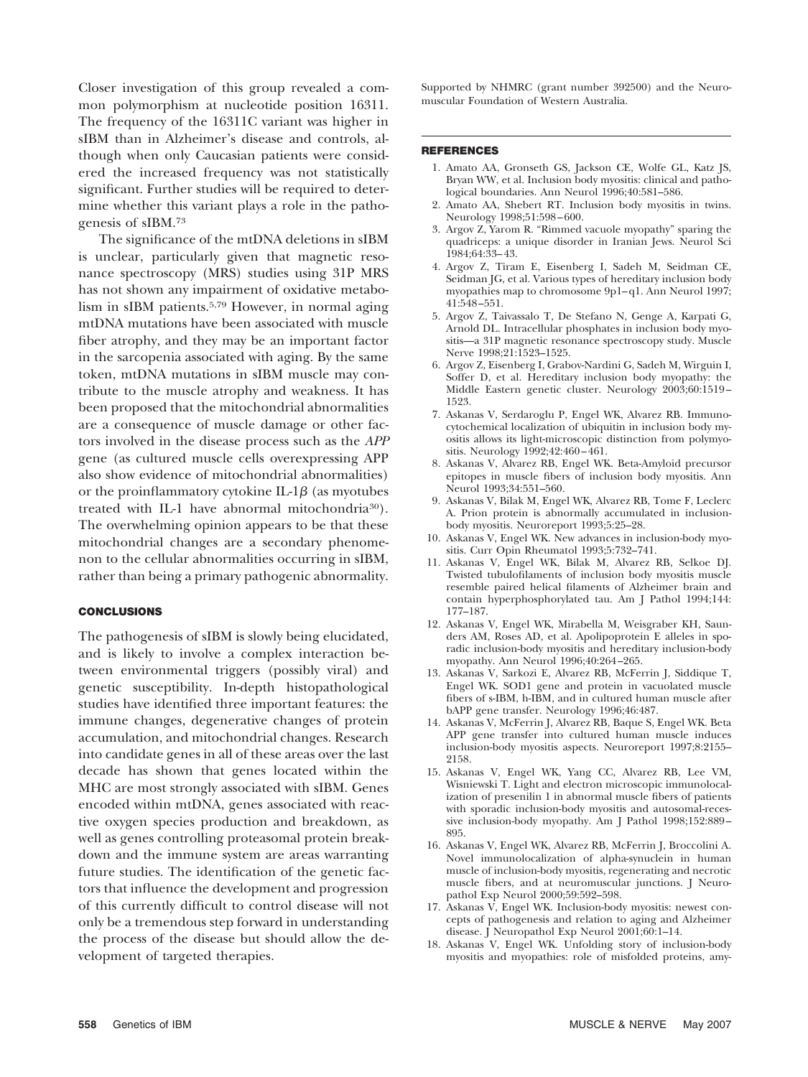Closer investigation of this group revealed a common polymorphism at nucleotide position 16311. The frequency of the 16311C variant was higher in sIBM than in Alzheimer's disease and controls, although when only Caucasian patients were considered the increased frequency was not statistically significant. Further studies will be required to determine whether this variant plays a role in the pathogenesis of sIBM.73

The significance of the mtDNA deletions in sIBM is unclear, particularly given that magnetic resonance spectroscopy (MRS) studies using 31P MRS has not shown any impairment of oxidative metabolism in sIBM patients.5,79 However, in normal aging mtDNA mutations have been associated with muscle fiber atrophy, and they may be an important factor in the sarcopenia associated with aging. By the same token, mtDNA mutations in sIBM muscle may contribute to the muscle atrophy and weakness. It has been proposed that the mitochondrial abnormalities are a consequence of muscle damage or other factors involved in the disease process such as the *APP* gene (as cultured muscle cells overexpressing APP also show evidence of mitochondrial abnormalities) or the proinflammatory cytokine IL-1 $\beta$  (as myotubes treated with IL-1 have abnormal mitochondria30). The overwhelming opinion appears to be that these mitochondrial changes are a secondary phenomenon to the cellular abnormalities occurring in sIBM, rather than being a primary pathogenic abnormality.

### **CONCLUSIONS**

The pathogenesis of sIBM is slowly being elucidated, and is likely to involve a complex interaction between environmental triggers (possibly viral) and genetic susceptibility. In-depth histopathological studies have identified three important features: the immune changes, degenerative changes of protein accumulation, and mitochondrial changes. Research into candidate genes in all of these areas over the last decade has shown that genes located within the MHC are most strongly associated with sIBM. Genes encoded within mtDNA, genes associated with reactive oxygen species production and breakdown, as well as genes controlling proteasomal protein breakdown and the immune system are areas warranting future studies. The identification of the genetic factors that influence the development and progression of this currently difficult to control disease will not only be a tremendous step forward in understanding the process of the disease but should allow the development of targeted therapies.

Supported by NHMRC (grant number 392500) and the Neuromuscular Foundation of Western Australia.

#### **REFERENCES**

- 1. Amato AA, Gronseth GS, Jackson CE, Wolfe GL, Katz JS, Bryan WW, et al. Inclusion body myositis: clinical and pathological boundaries. Ann Neurol 1996;40:581–586.
- 2. Amato AA, Shebert RT. Inclusion body myositis in twins. Neurology 1998;51:598 – 600.
- 3. Argov Z, Yarom R. "Rimmed vacuole myopathy" sparing the quadriceps: a unique disorder in Iranian Jews. Neurol Sci 1984;64:33– 43.
- 4. Argov Z, Tiram E, Eisenberg I, Sadeh M, Seidman CE, Seidman JG, et al. Various types of hereditary inclusion body myopathies map to chromosome 9p1–q1. Ann Neurol 1997; 41:548 –551.
- 5. Argov Z, Taivassalo T, De Stefano N, Genge A, Karpati G, Arnold DL. Intracellular phosphates in inclusion body myositis—a 31P magnetic resonance spectroscopy study. Muscle Nerve 1998;21:1523–1525.
- 6. Argov Z, Eisenberg I, Grabov-Nardini G, Sadeh M, Wirguin I, Soffer D, et al. Hereditary inclusion body myopathy: the Middle Eastern genetic cluster. Neurology 2003;60:1519 – 1523.
- 7. Askanas V, Serdaroglu P, Engel WK, Alvarez RB. Immunocytochemical localization of ubiquitin in inclusion body myositis allows its light-microscopic distinction from polymyositis. Neurology 1992;42:460-461.
- 8. Askanas V, Alvarez RB, Engel WK. Beta-Amyloid precursor epitopes in muscle fibers of inclusion body myositis. Ann Neurol 1993;34:551–560.
- 9. Askanas V, Bilak M, Engel WK, Alvarez RB, Tome F, Leclerc A. Prion protein is abnormally accumulated in inclusionbody myositis. Neuroreport 1993;5:25–28.
- 10. Askanas V, Engel WK. New advances in inclusion-body myositis. Curr Opin Rheumatol 1993;5:732–741.
- 11. Askanas V, Engel WK, Bilak M, Alvarez RB, Selkoe DJ. Twisted tubulofilaments of inclusion body myositis muscle resemble paired helical filaments of Alzheimer brain and contain hyperphosphorylated tau. Am J Pathol 1994;144: 177–187.
- 12. Askanas V, Engel WK, Mirabella M, Weisgraber KH, Saunders AM, Roses AD, et al. Apolipoprotein E alleles in sporadic inclusion-body myositis and hereditary inclusion-body myopathy. Ann Neurol 1996;40:264 –265.
- 13. Askanas V, Sarkozi E, Alvarez RB, McFerrin J, Siddique T, Engel WK. SOD1 gene and protein in vacuolated muscle fibers of s-IBM, h-IBM, and in cultured human muscle after bAPP gene transfer. Neurology 1996;46:487.
- 14. Askanas V, McFerrin J, Alvarez RB, Baque S, Engel WK. Beta APP gene transfer into cultured human muscle induces inclusion-body myositis aspects. Neuroreport 1997;8:2155– 2158.
- 15. Askanas V, Engel WK, Yang CC, Alvarez RB, Lee VM, Wisniewski T. Light and electron microscopic immunolocalization of presenilin 1 in abnormal muscle fibers of patients with sporadic inclusion-body myositis and autosomal-recessive inclusion-body myopathy. Am J Pathol 1998;152:889 – 895.
- 16. Askanas V, Engel WK, Alvarez RB, McFerrin J, Broccolini A. Novel immunolocalization of alpha-synuclein in human muscle of inclusion-body myositis, regenerating and necrotic muscle fibers, and at neuromuscular junctions. J Neuropathol Exp Neurol 2000;59:592–598.
- 17. Askanas V, Engel WK. Inclusion-body myositis: newest concepts of pathogenesis and relation to aging and Alzheimer disease. J Neuropathol Exp Neurol 2001;60:1–14.
- 18. Askanas V, Engel WK. Unfolding story of inclusion-body myositis and myopathies: role of misfolded proteins, amy-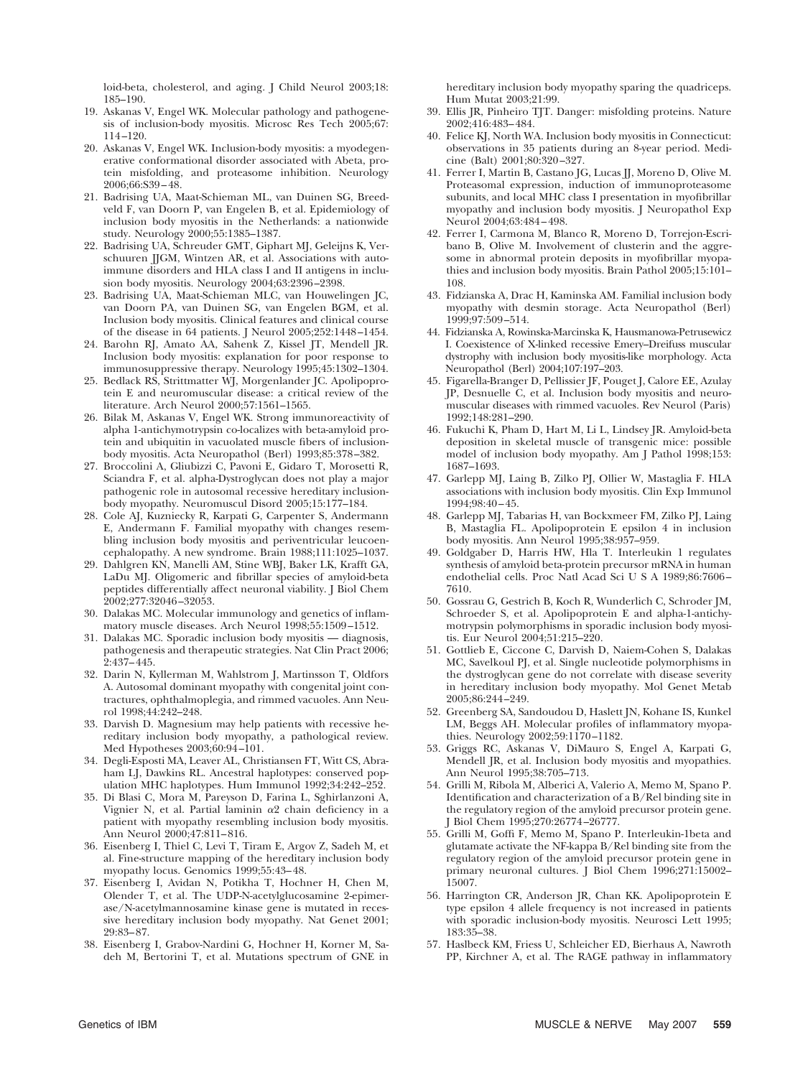loid-beta, cholesterol, and aging. J Child Neurol 2003;18: 185–190.

- 19. Askanas V, Engel WK. Molecular pathology and pathogenesis of inclusion-body myositis. Microsc Res Tech 2005;67: 114 –120.
- 20. Askanas V, Engel WK. Inclusion-body myositis: a myodegenerative conformational disorder associated with Abeta, protein misfolding, and proteasome inhibition. Neurology 2006;66:S39 – 48.
- 21. Badrising UA, Maat-Schieman ML, van Duinen SG, Breedveld F, van Doorn P, van Engelen B, et al. Epidemiology of inclusion body myositis in the Netherlands: a nationwide study. Neurology 2000;55:1385–1387.
- 22. Badrising UA, Schreuder GMT, Giphart MJ, Geleijns K, Verschuuren JJGM, Wintzen AR, et al. Associations with autoimmune disorders and HLA class I and II antigens in inclusion body myositis. Neurology 2004;63:2396 –2398.
- 23. Badrising UA, Maat-Schieman MLC, van Houwelingen JC, van Doorn PA, van Duinen SG, van Engelen BGM, et al. Inclusion body myositis. Clinical features and clinical course of the disease in 64 patients. J Neurol 2005;252:1448 –1454.
- 24. Barohn RJ, Amato AA, Sahenk Z, Kissel JT, Mendell JR. Inclusion body myositis: explanation for poor response to immunosuppressive therapy. Neurology 1995;45:1302–1304.
- 25. Bedlack RS, Strittmatter WJ, Morgenlander JC. Apolipoprotein E and neuromuscular disease: a critical review of the literature. Arch Neurol 2000;57:1561–1565.
- 26. Bilak M, Askanas V, Engel WK. Strong immunoreactivity of alpha 1-antichymotrypsin co-localizes with beta-amyloid protein and ubiquitin in vacuolated muscle fibers of inclusionbody myositis. Acta Neuropathol (Berl) 1993;85:378 –382.
- 27. Broccolini A, Gliubizzi C, Pavoni E, Gidaro T, Morosetti R, Sciandra F, et al. alpha-Dystroglycan does not play a major pathogenic role in autosomal recessive hereditary inclusionbody myopathy. Neuromuscul Disord 2005;15:177–184.
- 28. Cole AJ, Kuzniecky R, Karpati G, Carpenter S, Andermann E, Andermann F. Familial myopathy with changes resembling inclusion body myositis and periventricular leucoencephalopathy. A new syndrome. Brain 1988;111:1025–1037.
- 29. Dahlgren KN, Manelli AM, Stine WBJ, Baker LK, Krafft GA, LaDu MJ. Oligomeric and fibrillar species of amyloid-beta peptides differentially affect neuronal viability. J Biol Chem 2002;277:32046 –32053.
- 30. Dalakas MC. Molecular immunology and genetics of inflammatory muscle diseases. Arch Neurol 1998;55:1509 –1512.
- 31. Dalakas MC. Sporadic inclusion body myositis diagnosis, pathogenesis and therapeutic strategies. Nat Clin Pract 2006; 2:437– 445.
- 32. Darin N, Kyllerman M, Wahlstrom J, Martinsson T, Oldfors A. Autosomal dominant myopathy with congenital joint contractures, ophthalmoplegia, and rimmed vacuoles. Ann Neurol 1998;44:242–248.
- 33. Darvish D. Magnesium may help patients with recessive hereditary inclusion body myopathy, a pathological review. Med Hypotheses 2003;60:94 –101.
- 34. Degli-Esposti MA, Leaver AL, Christiansen FT, Witt CS, Abraham LJ, Dawkins RL. Ancestral haplotypes: conserved population MHC haplotypes. Hum Immunol 1992;34:242–252.
- 35. Di Blasi C, Mora M, Pareyson D, Farina L, Sghirlanzoni A, Vignier N, et al. Partial laminin  $\alpha 2$  chain deficiency in a patient with myopathy resembling inclusion body myositis. Ann Neurol 2000;47:811– 816.
- 36. Eisenberg I, Thiel C, Levi T, Tiram E, Argov Z, Sadeh M, et al. Fine-structure mapping of the hereditary inclusion body myopathy locus. Genomics 1999;55:43– 48.
- 37. Eisenberg I, Avidan N, Potikha T, Hochner H, Chen M, Olender T, et al. The UDP-N-acetylglucosamine 2-epimerase/N-acetylmannosamine kinase gene is mutated in recessive hereditary inclusion body myopathy. Nat Genet 2001; 29:83– 87.
- 38. Eisenberg I, Grabov-Nardini G, Hochner H, Korner M, Sadeh M, Bertorini T, et al. Mutations spectrum of GNE in

hereditary inclusion body myopathy sparing the quadriceps. Hum Mutat 2003;21:99.

- 39. Ellis JR, Pinheiro TJT. Danger: misfolding proteins. Nature 2002;416:483– 484.
- 40. Felice KJ, North WA. Inclusion body myositis in Connecticut: observations in 35 patients during an 8-year period. Medicine (Balt) 2001;80:320 –327.
- 41. Ferrer I, Martin B, Castano JG, Lucas JJ, Moreno D, Olive M. Proteasomal expression, induction of immunoproteasome subunits, and local MHC class I presentation in myofibrillar myopathy and inclusion body myositis. J Neuropathol Exp Neurol 2004;63:484 – 498.
- 42. Ferrer I, Carmona M, Blanco R, Moreno D, Torrejon-Escribano B, Olive M. Involvement of clusterin and the aggresome in abnormal protein deposits in myofibrillar myopathies and inclusion body myositis. Brain Pathol 2005;15:101– 108.
- 43. Fidzianska A, Drac H, Kaminska AM. Familial inclusion body myopathy with desmin storage. Acta Neuropathol (Berl) 1999;97:509 –514.
- 44. Fidzianska A, Rowinska-Marcinska K, Hausmanowa-Petrusewicz I. Coexistence of X-linked recessive Emery–Dreifuss muscular dystrophy with inclusion body myositis-like morphology. Acta Neuropathol (Berl) 2004;107:197–203.
- 45. Figarella-Branger D, Pellissier JF, Pouget J, Calore EE, Azulay JP, Desnuelle C, et al. Inclusion body myositis and neuromuscular diseases with rimmed vacuoles. Rev Neurol (Paris) 1992;148:281–290.
- 46. Fukuchi K, Pham D, Hart M, Li L, Lindsey JR. Amyloid-beta deposition in skeletal muscle of transgenic mice: possible model of inclusion body myopathy. Am J Pathol 1998;153: 1687–1693.
- 47. Garlepp MJ, Laing B, Zilko PJ, Ollier W, Mastaglia F. HLA associations with inclusion body myositis. Clin Exp Immunol 1994;98:40 – 45.
- 48. Garlepp MJ, Tabarias H, van Bockxmeer FM, Zilko PJ, Laing B, Mastaglia FL. Apolipoprotein E epsilon 4 in inclusion body myositis. Ann Neurol 1995;38:957–959.
- 49. Goldgaber D, Harris HW, Hla T. Interleukin 1 regulates synthesis of amyloid beta-protein precursor mRNA in human endothelial cells. Proc Natl Acad Sci U S A 1989;86:7606 – 7610.
- 50. Gossrau G, Gestrich B, Koch R, Wunderlich C, Schroder JM, Schroeder S, et al. Apolipoprotein E and alpha-1-antichymotrypsin polymorphisms in sporadic inclusion body myositis. Eur Neurol 2004;51:215–220.
- 51. Gottlieb E, Ciccone C, Darvish D, Naiem-Cohen S, Dalakas MC, Savelkoul PJ, et al. Single nucleotide polymorphisms in the dystroglycan gene do not correlate with disease severity in hereditary inclusion body myopathy. Mol Genet Metab 2005;86:244 –249.
- 52. Greenberg SA, Sandoudou D, Haslett JN, Kohane IS, Kunkel LM, Beggs AH. Molecular profiles of inflammatory myopathies. Neurology 2002;59:1170 –1182.
- 53. Griggs RC, Askanas V, DiMauro S, Engel A, Karpati G, Mendell JR, et al. Inclusion body myositis and myopathies. Ann Neurol 1995;38:705–713.
- 54. Grilli M, Ribola M, Alberici A, Valerio A, Memo M, Spano P. Identification and characterization of a B/Rel binding site in the regulatory region of the amyloid precursor protein gene. J Biol Chem 1995;270:26774 –26777.
- 55. Grilli M, Goffi F, Memo M, Spano P. Interleukin-1beta and glutamate activate the NF-kappa B/Rel binding site from the regulatory region of the amyloid precursor protein gene in primary neuronal cultures. J Biol Chem 1996;271:15002– 15007.
- 56. Harrington CR, Anderson JR, Chan KK. Apolipoprotein E type epsilon 4 allele frequency is not increased in patients with sporadic inclusion-body myositis. Neurosci Lett 1995; 183:35–38.
- 57. Haslbeck KM, Friess U, Schleicher ED, Bierhaus A, Nawroth PP, Kirchner A, et al. The RAGE pathway in inflammatory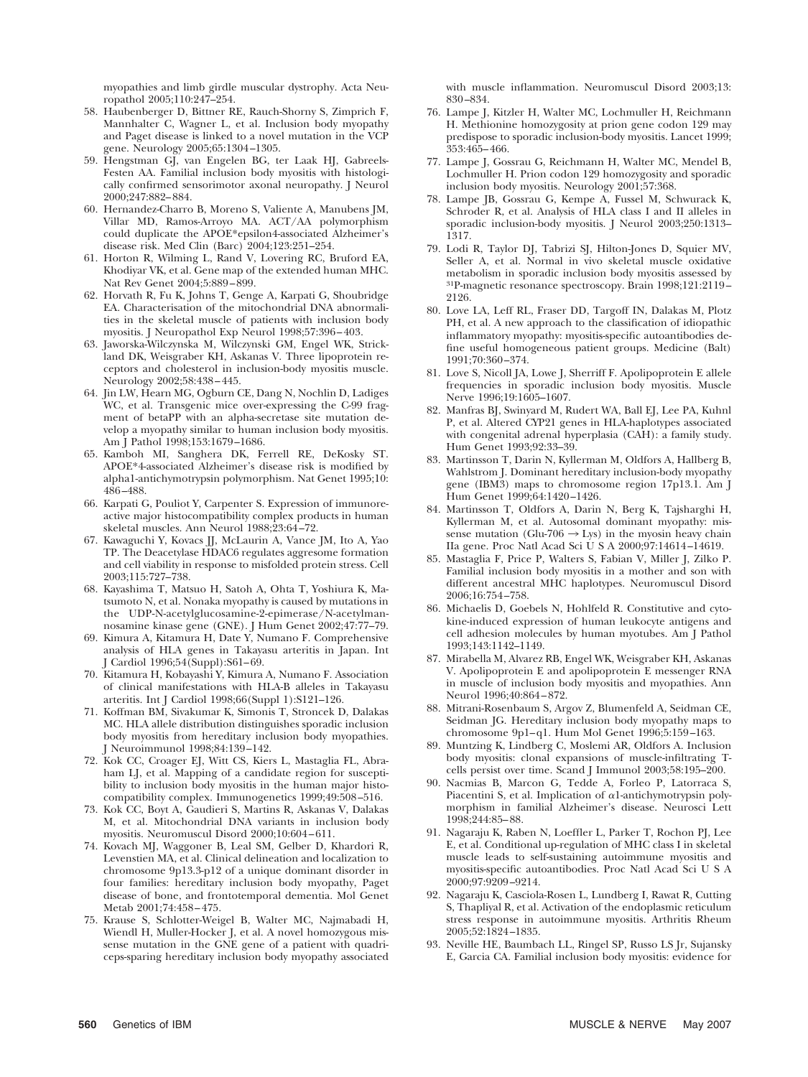myopathies and limb girdle muscular dystrophy. Acta Neuropathol 2005;110:247–254.

- 58. Haubenberger D, Bittner RE, Rauch-Shorny S, Zimprich F, Mannhalter C, Wagner L, et al. Inclusion body myopathy and Paget disease is linked to a novel mutation in the VCP gene. Neurology 2005;65:1304 –1305.
- 59. Hengstman GJ, van Engelen BG, ter Laak HJ, Gabreels-Festen AA. Familial inclusion body myositis with histologically confirmed sensorimotor axonal neuropathy. J Neurol 2000;247:882– 884.
- 60. Hernandez-Charro B, Moreno S, Valiente A, Manubens JM, Villar MD, Ramos-Arroyo MA. ACT/AA polymorphism could duplicate the APOE\*epsilon4-associated Alzheimer's disease risk. Med Clin (Barc) 2004;123:251–254.
- 61. Horton R, Wilming L, Rand V, Lovering RC, Bruford EA, Khodiyar VK, et al. Gene map of the extended human MHC. Nat Rev Genet 2004;5:889 – 899.
- 62. Horvath R, Fu K, Johns T, Genge A, Karpati G, Shoubridge EA. Characterisation of the mitochondrial DNA abnormalities in the skeletal muscle of patients with inclusion body myositis. J Neuropathol Exp Neurol 1998;57:396 – 403.
- 63. Jaworska-Wilczynska M, Wilczynski GM, Engel WK, Strickland DK, Weisgraber KH, Askanas V. Three lipoprotein receptors and cholesterol in inclusion-body myositis muscle. Neurology 2002;58:438 – 445.
- 64. Jin LW, Hearn MG, Ogburn CE, Dang N, Nochlin D, Ladiges WC, et al. Transgenic mice over-expressing the C-99 fragment of betaPP with an alpha-secretase site mutation develop a myopathy similar to human inclusion body myositis. Am J Pathol 1998;153:1679 –1686.
- 65. Kamboh MI, Sanghera DK, Ferrell RE, DeKosky ST. APOE\*4-associated Alzheimer's disease risk is modified by alpha1-antichymotrypsin polymorphism. Nat Genet 1995;10: 486 –488.
- 66. Karpati G, Pouliot Y, Carpenter S. Expression of immunoreactive major histocompatibility complex products in human skeletal muscles. Ann Neurol 1988;23:64 –72.
- 67. Kawaguchi Y, Kovacs JJ, McLaurin A, Vance JM, Ito A, Yao TP. The Deacetylase HDAC6 regulates aggresome formation and cell viability in response to misfolded protein stress. Cell 2003;115:727–738.
- 68. Kayashima T, Matsuo H, Satoh A, Ohta T, Yoshiura K, Matsumoto N, et al. Nonaka myopathy is caused by mutations in the UDP-N-acetylglucosamine-2-epimerase/N-acetylmannosamine kinase gene (GNE). J Hum Genet 2002;47:77–79.
- 69. Kimura A, Kitamura H, Date Y, Numano F. Comprehensive analysis of HLA genes in Takayasu arteritis in Japan. Int J Cardiol 1996;54(Suppl):S61– 69.
- 70. Kitamura H, Kobayashi Y, Kimura A, Numano F. Association of clinical manifestations with HLA-B alleles in Takayasu arteritis. Int J Cardiol 1998;66(Suppl 1):S121–126.
- 71. Koffman BM, Sivakumar K, Simonis T, Stroncek D, Dalakas MC. HLA allele distribution distinguishes sporadic inclusion body myositis from hereditary inclusion body myopathies. J Neuroimmunol 1998;84:139 –142.
- 72. Kok CC, Croager EJ, Witt CS, Kiers L, Mastaglia FL, Abraham LJ, et al. Mapping of a candidate region for susceptibility to inclusion body myositis in the human major histocompatibility complex. Immunogenetics 1999;49:508 –516.
- 73. Kok CC, Boyt A, Gaudieri S, Martins R, Askanas V, Dalakas M, et al. Mitochondrial DNA variants in inclusion body myositis. Neuromuscul Disord 2000;10:604 – 611.
- 74. Kovach MJ, Waggoner B, Leal SM, Gelber D, Khardori R, Levenstien MA, et al. Clinical delineation and localization to chromosome 9p13.3-p12 of a unique dominant disorder in four families: hereditary inclusion body myopathy, Paget disease of bone, and frontotemporal dementia. Mol Genet Metab 2001;74:458 – 475.
- 75. Krause S, Schlotter-Weigel B, Walter MC, Najmabadi H, Wiendl H, Muller-Hocker J, et al. A novel homozygous missense mutation in the GNE gene of a patient with quadriceps-sparing hereditary inclusion body myopathy associated

with muscle inflammation. Neuromuscul Disord 2003;13: 830 –834.

- 76. Lampe J, Kitzler H, Walter MC, Lochmuller H, Reichmann H. Methionine homozygosity at prion gene codon 129 may predispose to sporadic inclusion-body myositis. Lancet 1999; 353:465– 466.
- 77. Lampe J, Gossrau G, Reichmann H, Walter MC, Mendel B, Lochmuller H. Prion codon 129 homozygosity and sporadic inclusion body myositis. Neurology 2001;57:368.
- 78. Lampe JB, Gossrau G, Kempe A, Fussel M, Schwurack K, Schroder R, et al. Analysis of HLA class I and II alleles in sporadic inclusion-body myositis. J Neurol 2003;250:1313– 1317.
- 79. Lodi R, Taylor DJ, Tabrizi SJ, Hilton-Jones D, Squier MV, Seller A, et al. Normal in vivo skeletal muscle oxidative metabolism in sporadic inclusion body myositis assessed by 31P-magnetic resonance spectroscopy. Brain 1998;121:2119 – 2126.
- 80. Love LA, Leff RL, Fraser DD, Targoff IN, Dalakas M, Plotz PH, et al. A new approach to the classification of idiopathic inflammatory myopathy: myositis-specific autoantibodies define useful homogeneous patient groups. Medicine (Balt) 1991;70:360 –374.
- 81. Love S, Nicoll JA, Lowe J, Sherriff F. Apolipoprotein E allele frequencies in sporadic inclusion body myositis. Muscle Nerve 1996;19:1605–1607.
- 82. Manfras BJ, Swinyard M, Rudert WA, Ball EJ, Lee PA, Kuhnl P, et al. Altered CYP21 genes in HLA-haplotypes associated with congenital adrenal hyperplasia (CAH): a family study. Hum Genet 1993;92:33–39.
- 83. Martinsson T, Darin N, Kyllerman M, Oldfors A, Hallberg B, Wahlstrom J. Dominant hereditary inclusion-body myopathy gene (IBM3) maps to chromosome region 17p13.1. Am J Hum Genet 1999;64:1420 –1426.
- 84. Martinsson T, Oldfors A, Darin N, Berg K, Tajsharghi H, Kyllerman M, et al. Autosomal dominant myopathy: missense mutation (Glu-706  $\rightarrow$  Lys) in the myosin heavy chain IIa gene. Proc Natl Acad SciUSA 2000;97:14614 –14619.
- 85. Mastaglia F, Price P, Walters S, Fabian V, Miller J, Zilko P. Familial inclusion body myositis in a mother and son with different ancestral MHC haplotypes. Neuromuscul Disord 2006;16:754 –758.
- 86. Michaelis D, Goebels N, Hohlfeld R. Constitutive and cytokine-induced expression of human leukocyte antigens and cell adhesion molecules by human myotubes. Am J Pathol 1993;143:1142–1149.
- 87. Mirabella M, Alvarez RB, Engel WK, Weisgraber KH, Askanas V. Apolipoprotein E and apolipoprotein E messenger RNA in muscle of inclusion body myositis and myopathies. Ann Neurol 1996;40:864 – 872.
- 88. Mitrani-Rosenbaum S, Argov Z, Blumenfeld A, Seidman CE, Seidman JG. Hereditary inclusion body myopathy maps to chromosome 9p1– q1. Hum Mol Genet 1996;5:159 –163.
- 89. Muntzing K, Lindberg C, Moslemi AR, Oldfors A. Inclusion body myositis: clonal expansions of muscle-infiltrating Tcells persist over time. Scand J Immunol 2003;58:195–200.
- 90. Nacmias B, Marcon G, Tedde A, Forleo P, Latorraca S, Piacentini S, et al. Implication of  $\alpha$ 1-antichymotrypsin polymorphism in familial Alzheimer's disease. Neurosci Lett 1998;244:85– 88.
- 91. Nagaraju K, Raben N, Loeffler L, Parker T, Rochon PJ, Lee E, et al. Conditional up-regulation of MHC class I in skeletal muscle leads to self-sustaining autoimmune myositis and myositis-specific autoantibodies. Proc Natl Acad Sci U S A 2000;97:9209 –9214.
- 92. Nagaraju K, Casciola-Rosen L, Lundberg I, Rawat R, Cutting S, Thapliyal R, et al. Activation of the endoplasmic reticulum stress response in autoimmune myositis. Arthritis Rheum 2005;52:1824 –1835.
- 93. Neville HE, Baumbach LL, Ringel SP, Russo LS Jr, Sujansky E, Garcia CA. Familial inclusion body myositis: evidence for